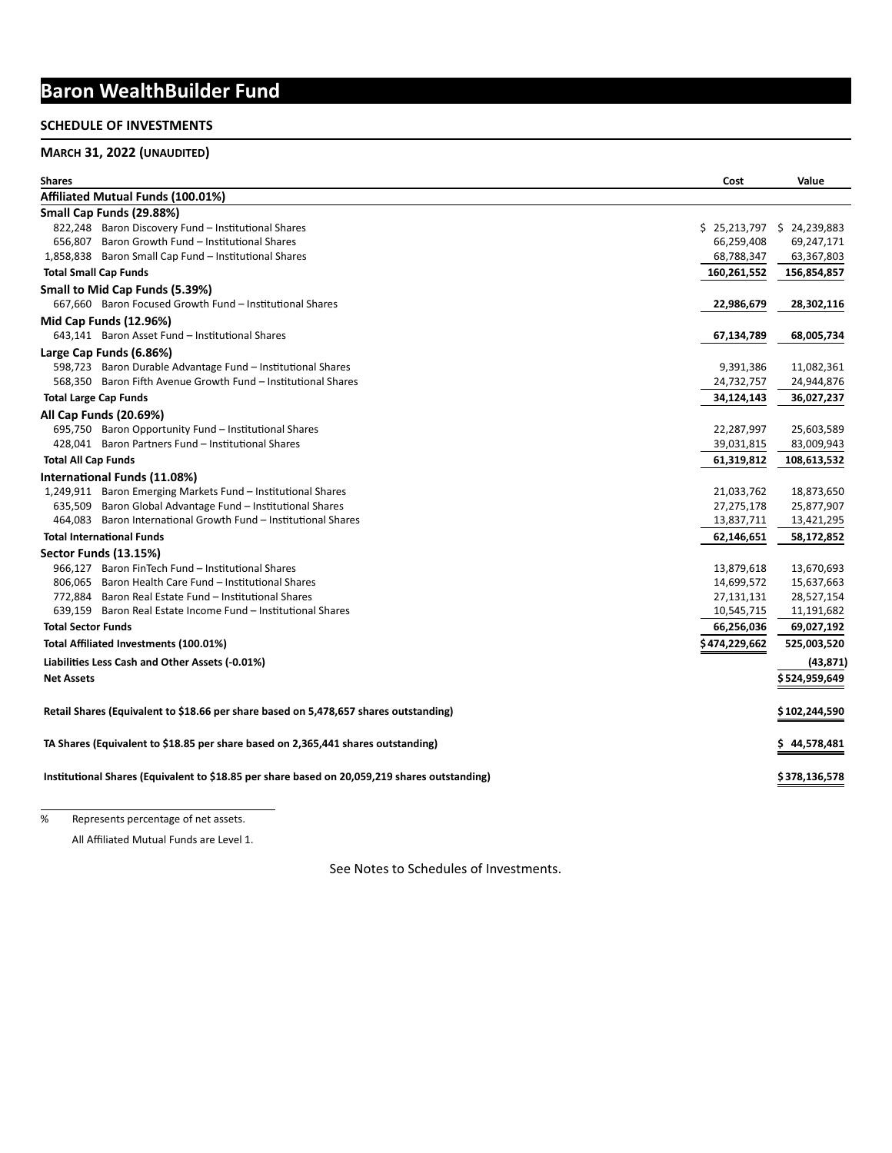# **Baron WealthBuilder Fund**

# **SCHEDULE OF INVESTMENTS**

# **MARCH 31, 2022 (UNAUDITED)**

| <b>Shares</b>                                                                                 | Cost           | Value                    |  |  |  |
|-----------------------------------------------------------------------------------------------|----------------|--------------------------|--|--|--|
| Affiliated Mutual Funds (100.01%)                                                             |                |                          |  |  |  |
| Small Cap Funds (29.88%)                                                                      |                |                          |  |  |  |
| 822,248 Baron Discovery Fund - Institutional Shares                                           |                | \$25,213,797\$24,239,883 |  |  |  |
| 656,807 Baron Growth Fund - Institutional Shares                                              | 66,259,408     | 69,247,171               |  |  |  |
| 1,858,838 Baron Small Cap Fund - Institutional Shares                                         | 68,788,347     | 63,367,803               |  |  |  |
| <b>Total Small Cap Funds</b>                                                                  | 160,261,552    | 156,854,857              |  |  |  |
| Small to Mid Cap Funds (5.39%)                                                                |                |                          |  |  |  |
| 667.660 Baron Focused Growth Fund - Institutional Shares                                      | 22,986,679     | 28,302,116               |  |  |  |
| <b>Mid Cap Funds (12.96%)</b>                                                                 |                |                          |  |  |  |
| 643,141 Baron Asset Fund - Institutional Shares                                               | 67,134,789     | 68,005,734               |  |  |  |
| Large Cap Funds (6.86%)                                                                       |                |                          |  |  |  |
| 598,723 Baron Durable Advantage Fund - Institutional Shares                                   | 9,391,386      | 11,082,361               |  |  |  |
| 568,350 Baron Fifth Avenue Growth Fund - Institutional Shares                                 | 24,732,757     | 24,944,876               |  |  |  |
| <b>Total Large Cap Funds</b>                                                                  | 34,124,143     | 36,027,237               |  |  |  |
| All Cap Funds (20.69%)                                                                        |                |                          |  |  |  |
| 695,750 Baron Opportunity Fund - Institutional Shares                                         | 22,287,997     | 25,603,589               |  |  |  |
| 428,041 Baron Partners Fund - Institutional Shares                                            | 39,031,815     | 83,009,943               |  |  |  |
| <b>Total All Cap Funds</b>                                                                    | 61,319,812     | 108,613,532              |  |  |  |
| International Funds (11.08%)                                                                  |                |                          |  |  |  |
| 1,249,911 Baron Emerging Markets Fund - Institutional Shares                                  | 21,033,762     | 18,873,650               |  |  |  |
| 635,509 Baron Global Advantage Fund - Institutional Shares                                    | 27,275,178     | 25,877,907               |  |  |  |
| 464.083 Baron International Growth Fund - Institutional Shares                                | 13,837,711     | 13,421,295               |  |  |  |
| <b>Total International Funds</b>                                                              | 62,146,651     | 58,172,852               |  |  |  |
| <b>Sector Funds (13.15%)</b>                                                                  |                |                          |  |  |  |
| 966,127 Baron FinTech Fund - Institutional Shares                                             | 13,879,618     | 13,670,693               |  |  |  |
| 806.065 Baron Health Care Fund - Institutional Shares                                         | 14,699,572     | 15,637,663               |  |  |  |
| 772.884 Baron Real Estate Fund - Institutional Shares                                         | 27,131,131     | 28,527,154               |  |  |  |
| 639.159 Baron Real Estate Income Fund - Institutional Shares                                  | 10,545,715     | 11,191,682               |  |  |  |
| <b>Total Sector Funds</b>                                                                     | 66,256,036     | 69,027,192               |  |  |  |
| Total Affiliated Investments (100.01%)                                                        | \$ 474,229,662 | 525,003,520              |  |  |  |
| Liabilities Less Cash and Other Assets (-0.01%)                                               |                | (43, 871)                |  |  |  |
| <b>Net Assets</b>                                                                             |                | \$524,959,649            |  |  |  |
|                                                                                               |                |                          |  |  |  |
| Retail Shares (Equivalent to \$18.66 per share based on 5,478,657 shares outstanding)         |                | \$102,244,590            |  |  |  |
| TA Shares (Equivalent to \$18.85 per share based on 2,365,441 shares outstanding)             |                |                          |  |  |  |
| Institutional Shares (Equivalent to \$18.85 per share based on 20,059,219 shares outstanding) |                |                          |  |  |  |
|                                                                                               |                |                          |  |  |  |

% Represents percentage of net assets.

All Affiliated Mutual Funds are Level 1.

See Notes to Schedules of Investments.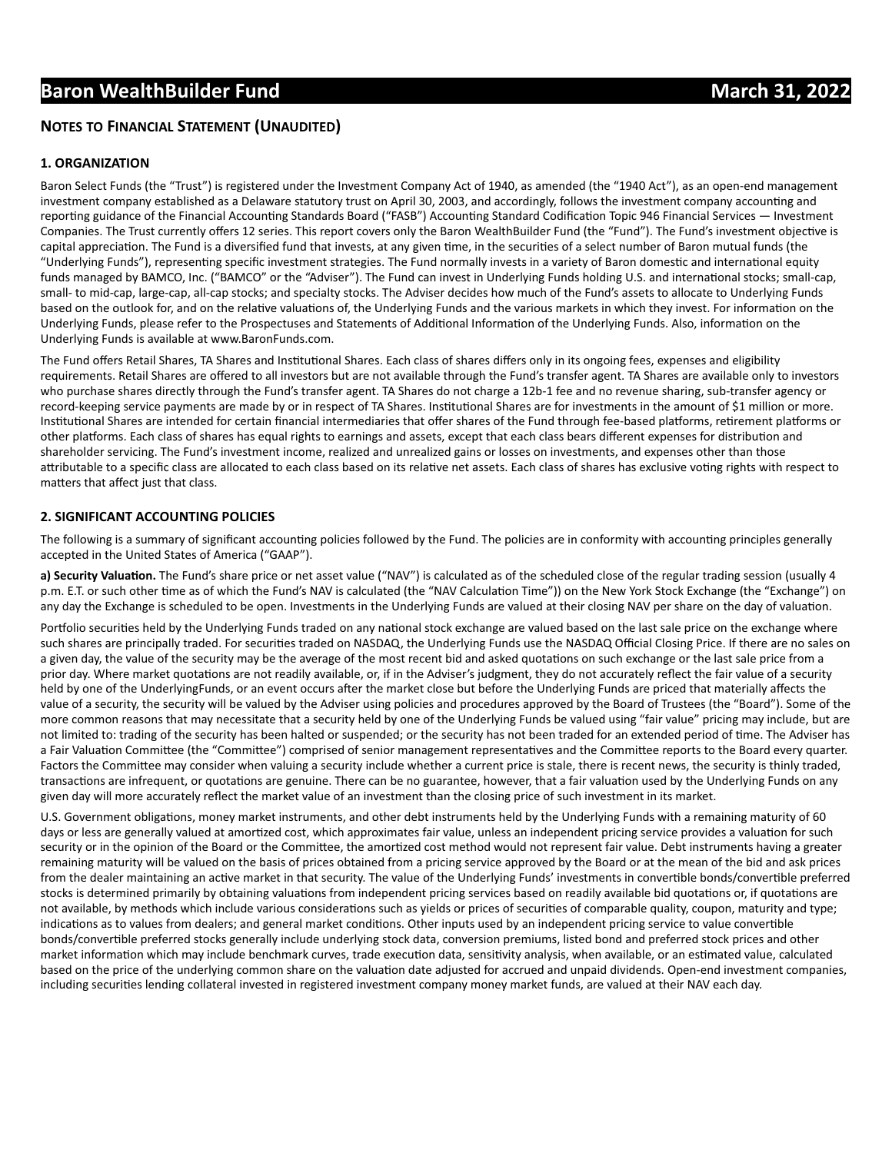# **Baron WealthBuilder Fund March 31, 2022**

# **NOTES TO FINANCIAL STATEMENT (UNAUDITED)**

#### **1. ORGANIZATION**

Baron Select Funds (the "Trust") is registered under the Investment Company Act of 1940, as amended (the "1940 Act"), as an open-end management investment company established as a Delaware statutory trust on April 30, 2003, and accordingly, follows the investment company accounting and reporting guidance of the Financial Accounting Standards Board ("FASB") Accounting Standard Codification Topic 946 Financial Services — Investment Companies. The Trust currently offers 12 series. This report covers only the Baron WealthBuilder Fund (the "Fund"). The Fund's investment objective is capital appreciation. The Fund is a diversified fund that invests, at any given time, in the securities of a select number of Baron mutual funds (the "Underlying Funds"), representing specific investment strategies. The Fund normally invests in a variety of Baron domestic and international equity funds managed by BAMCO, Inc. ("BAMCO" or the "Adviser"). The Fund can invest in Underlying Funds holding U.S. and international stocks; small-cap, small- to mid-cap, large-cap, all-cap stocks; and specialty stocks. The Adviser decides how much of the Fund's assets to allocate to Underlying Funds based on the outlook for, and on the relative valuations of, the Underlying Funds and the various markets in which they invest. For information on the Underlying Funds, please refer to the Prospectuses and Statements of Additional Information of the Underlying Funds. Also, information on the Underlying Funds is available at www.BaronFunds.com.

The Fund offers Retail Shares, TA Shares and Institutional Shares. Each class of shares differs only in its ongoing fees, expenses and eligibility requirements. Retail Shares are offered to all investors but are not available through the Fund's transfer agent. TA Shares are available only to investors who purchase shares directly through the Fund's transfer agent. TA Shares do not charge a 12b-1 fee and no revenue sharing, sub-transfer agency or record-keeping service payments are made by or in respect of TA Shares. Institutional Shares are for investments in the amount of \$1 million or more. Institutional Shares are intended for certain financial intermediaries that offer shares of the Fund through fee-based platforms, retirement platforms or other platforms. Each class of shares has equal rights to earnings and assets, except that each class bears different expenses for distribution and shareholder servicing. The Fund's investment income, realized and unrealized gains or losses on investments, and expenses other than those attributable to a specific class are allocated to each class based on its relative net assets. Each class of shares has exclusive voting rights with respect to matters that affect just that class.

#### **2. SIGNIFICANT ACCOUNTING POLICIES**

The following is a summary of significant accounting policies followed by the Fund. The policies are in conformity with accounting principles generally accepted in the United States of America ("GAAP").

a) Security Valuation. The Fund's share price or net asset value ("NAV") is calculated as of the scheduled close of the regular trading session (usually 4 p.m. E.T. or such other time as of which the Fund's NAV is calculated (the "NAV Calculation Time")) on the New York Stock Exchange (the "Exchange") on any day the Exchange is scheduled to be open. Investments in the Underlying Funds are valued at their closing NAV per share on the day of valuation.

Portfolio securities held by the Underlying Funds traded on any national stock exchange are valued based on the last sale price on the exchange where such shares are principally traded. For securities traded on NASDAQ, the Underlying Funds use the NASDAQ Official Closing Price. If there are no sales on a given day, the value of the security may be the average of the most recent bid and asked quotations on such exchange or the last sale price from a prior day. Where market quotations are not readily available, or, if in the Adviser's judgment, they do not accurately reflect the fair value of a security held by one of the UnderlyingFunds, or an event occurs after the market close but before the Underlying Funds are priced that materially affects the value of a security, the security will be valued by the Adviser using policies and procedures approved by the Board of Trustees (the "Board"). Some of the more common reasons that may necessitate that a security held by one of the Underlying Funds be valued using "fair value" pricing may include, but are not limited to: trading of the security has been halted or suspended; or the security has not been traded for an extended period of time. The Adviser has a Fair Valuation Committee (the "Committee") comprised of senior management representatives and the Committee reports to the Board every quarter. Factors the Committee may consider when valuing a security include whether a current price is stale, there is recent news, the security is thinly traded, transactions are infrequent, or quotations are genuine. There can be no guarantee, however, that a fair valuation used by the Underlying Funds on any given day will more accurately reflect the market value of an investment than the closing price of such investment in its market.

U.S. Government obligations, money market instruments, and other debt instruments held by the Underlying Funds with a remaining maturity of 60 days or less are generally valued at amortized cost, which approximates fair value, unless an independent pricing service provides a valuation for such security or in the opinion of the Board or the Committee, the amortized cost method would not represent fair value. Debt instruments having a greater remaining maturity will be valued on the basis of prices obtained from a pricing service approved by the Board or at the mean of the bid and ask prices from the dealer maintaining an active market in that security. The value of the Underlying Funds' investments in convertible bonds/convertible preferred stocks is determined primarily by obtaining valuations from independent pricing services based on readily available bid quotations or, if quotations are not available, by methods which include various considerations such as yields or prices of securities of comparable quality, coupon, maturity and type; indications as to values from dealers; and general market conditions. Other inputs used by an independent pricing service to value convertible bonds/convertible preferred stocks generally include underlying stock data, conversion premiums, listed bond and preferred stock prices and other market information which may include benchmark curves, trade execution data, sensitivity analysis, when available, or an estimated value, calculated based on the price of the underlying common share on the valuation date adjusted for accrued and unpaid dividends. Open-end investment companies, including securities lending collateral invested in registered investment company money market funds, are valued at their NAV each day.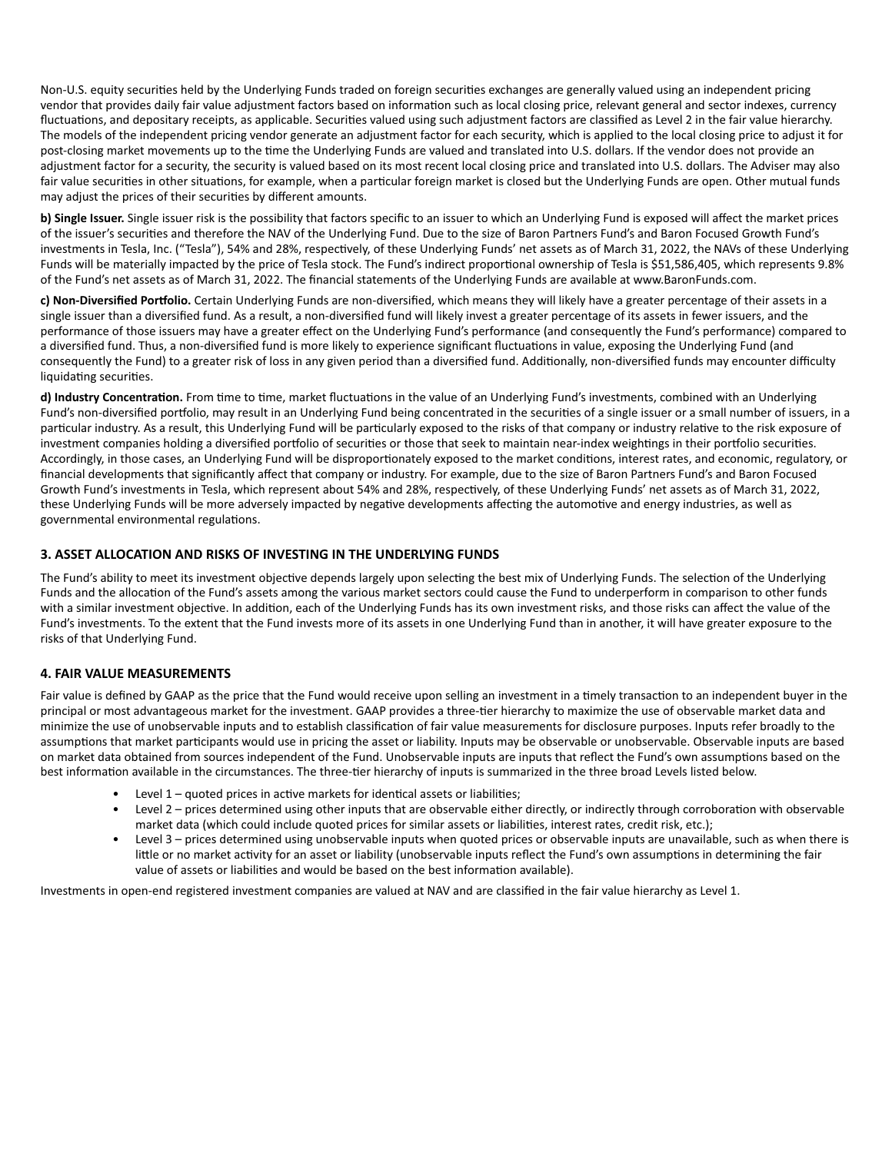Non-U.S. equity securities held by the Underlying Funds traded on foreign securities exchanges are generally valued using an independent pricing vendor that provides daily fair value adjustment factors based on information such as local closing price, relevant general and sector indexes, currency fluctuations, and depositary receipts, as applicable. Securities valued using such adjustment factors are classified as Level 2 in the fair value hierarchy. The models of the independent pricing vendor generate an adjustment factor for each security, which is applied to the local closing price to adjust it for post-closing market movements up to the time the Underlying Funds are valued and translated into U.S. dollars. If the vendor does not provide an adjustment factor for a security, the security is valued based on its most recent local closing price and translated into U.S. dollars. The Adviser may also fair value securities in other situations, for example, when a particular foreign market is closed but the Underlying Funds are open. Other mutual funds may adjust the prices of their securities by different amounts.

**b) Single Issuer.** Single issuer risk is the possibility that factors specific to an issuer to which an Underlying Fund is exposed will affect the market prices of the issuer's securities and therefore the NAV of the Underlying Fund. Due to the size of Baron Partners Fund's and Baron Focused Growth Fund's investments in Tesla, Inc. ("Tesla"), 54% and 28%, respectively, of these Underlying Funds' net assets as of March 31, 2022, the NAVs of these Underlying Funds will be materially impacted by the price of Tesla stock. The Fund's indirect proportional ownership of Tesla is \$51,586,405, which represents 9.8% of the Fund's net assets as of March 31, 2022. The financial statements of the Underlying Funds are available at www.BaronFunds.com.

c) Non-Diversified Portfolio. Certain Underlying Funds are non-diversified, which means they will likely have a greater percentage of their assets in a single issuer than a diversified fund. As a result, a non-diversified fund will likely invest a greater percentage of its assets in fewer issuers, and the performance of those issuers may have a greater effect on the Underlying Fund's performance (and consequently the Fund's performance) compared to a diversified fund. Thus, a non-diversified fund is more likely to experience significant fluctuations in value, exposing the Underlying Fund (and consequently the Fund) to a greater risk of loss in any given period than a diversified fund. Additionally, non-diversified funds may encounter difficulty liquidating securities.

d) Industry Concentration. From time to time, market fluctuations in the value of an Underlying Fund's investments, combined with an Underlying Fund's non-diversified portfolio, may result in an Underlying Fund being concentrated in the securities of a single issuer or a small number of issuers, in a particular industry. As a result, this Underlying Fund will be particularly exposed to the risks of that company or industry relative to the risk exposure of investment companies holding a diversified portfolio of securities or those that seek to maintain near-index weightings in their portfolio securities. Accordingly, in those cases, an Underlying Fund will be disproportionately exposed to the market conditions, interest rates, and economic, regulatory, or financial developments that significantly affect that company or industry. For example, due to the size of Baron Partners Fund's and Baron Focused Growth Fund's investments in Tesla, which represent about 54% and 28%, respectively, of these Underlying Funds' net assets as of March 31, 2022, these Underlying Funds will be more adversely impacted by negative developments affecting the automotive and energy industries, as well as governmental environmental regulations.

#### **3. ASSET ALLOCATION AND RISKS OF INVESTING IN THE UNDERLYING FUNDS**

The Fund's ability to meet its investment objective depends largely upon selecting the best mix of Underlying Funds. The selection of the Underlying Funds and the allocation of the Fund's assets among the various market sectors could cause the Fund to underperform in comparison to other funds with a similar investment objective. In addition, each of the Underlying Funds has its own investment risks, and those risks can affect the value of the Fund's investments. To the extent that the Fund invests more of its assets in one Underlying Fund than in another, it will have greater exposure to the risks of that Underlying Fund.

## **4. FAIR VALUE MEASUREMENTS**

Fair value is defined by GAAP as the price that the Fund would receive upon selling an investment in a timely transaction to an independent buyer in the principal or most advantageous market for the investment. GAAP provides a three-tier hierarchy to maximize the use of observable market data and minimize the use of unobservable inputs and to establish classification of fair value measurements for disclosure purposes. Inputs refer broadly to the assumptions that market participants would use in pricing the asset or liability. Inputs may be observable or unobservable. Observable inputs are based on market data obtained from sources independent of the Fund. Unobservable inputs are inputs that reflect the Fund's own assumptions based on the best information available in the circumstances. The three-tier hierarchy of inputs is summarized in the three broad Levels listed below.

- Level  $1$  quoted prices in active markets for identical assets or liabilities;
	- Level 2 prices determined using other inputs that are observable either directly, or indirectly through corroboration with observable market data (which could include quoted prices for similar assets or liabilities, interest rates, credit risk, etc.);
	- Level 3 prices determined using unobservable inputs when quoted prices or observable inputs are unavailable, such as when there is little or no market activity for an asset or liability (unobservable inputs reflect the Fund's own assumptions in determining the fair value of assets or liabilities and would be based on the best information available).

Investments in open-end registered investment companies are valued at NAV and are classified in the fair value hierarchy as Level 1.